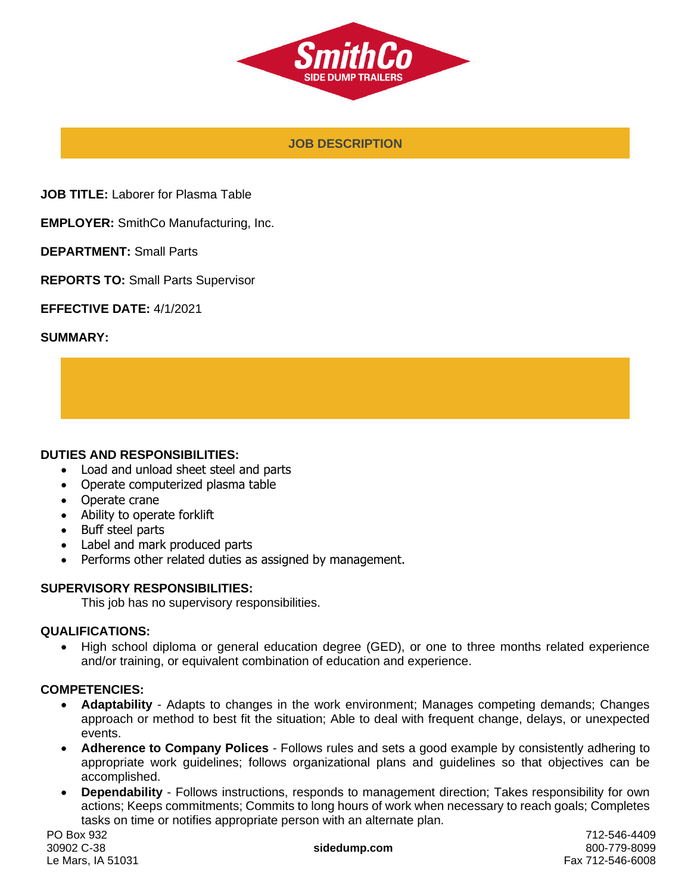

### **JOB DESCRIPTION**

**JOB TITLE:** Laborer for Plasma Table

**EMPLOYER:** SmithCo Manufacturing, Inc.

**DEPARTMENT:** Small Parts

**REPORTS TO:** Small Parts Supervisor

**EFFECTIVE DATE:** 4/1/2021

#### **SUMMARY:**

#### **DUTIES AND RESPONSIBILITIES:**

- Load and unload sheet steel and parts
- Operate computerized plasma table
- Operate crane
- Ability to operate forklift
- Buff steel parts
- Label and mark produced parts
- Performs other related duties as assigned by management.

#### **SUPERVISORY RESPONSIBILITIES:**

This job has no supervisory responsibilities.

#### **QUALIFICATIONS:**

• High school diploma or general education degree (GED), or one to three months related experience and/or training, or equivalent combination of education and experience.

#### **COMPETENCIES:**

- **Adaptability** Adapts to changes in the work environment; Manages competing demands; Changes approach or method to best fit the situation; Able to deal with frequent change, delays, or unexpected events.
- **Adherence to Company Polices** Follows rules and sets a good example by consistently adhering to appropriate work guidelines; follows organizational plans and guidelines so that objectives can be accomplished.
- **Dependability** Follows instructions, responds to management direction; Takes responsibility for own actions; Keeps commitments; Commits to long hours of work when necessary to reach goals; Completes tasks on time or notifies appropriate person with an alternate plan.